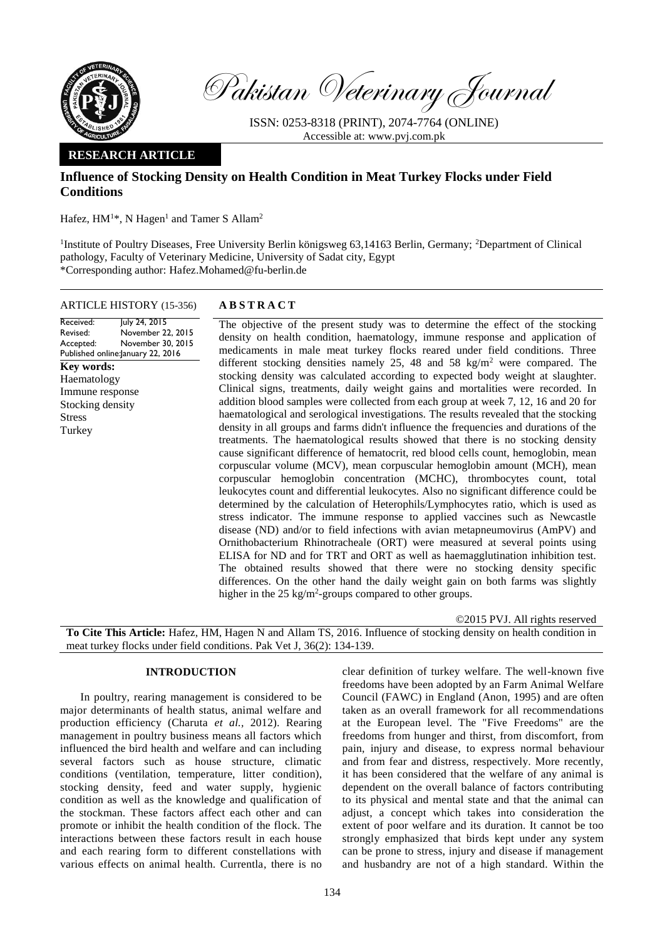

Pakistan Veterinary Journal

ISSN: 0253-8318 (PRINT), 2074-7764 (ONLINE) Accessible at: [www.pvj.com.pk](http://www.pvj.com.pk/)

## **RESEARCH ARTICLE**

# **Influence of Stocking Density on Health Condition in Meat Turkey Flocks under Field Conditions**

Hafez,  $HM^{1*}$ , N Hagen<sup>1</sup> and Tamer S Allam<sup>2</sup>

<sup>1</sup>Institute of Poultry Diseases, Free University Berlin königsweg 63,14163 Berlin, Germany; <sup>2</sup>Department of Clinical pathology, Faculty of Veterinary Medicine, University of Sadat city, Egypt \*Corresponding author: Hafez.Mohamed@fu-berlin.de

## ARTICLE HISTORY (15-356) **A B S T R A C T**

Received: Revised: Accepted: Published online: January 22, 2016 July 24, 2015 November 22, 2015 November 30, 2015 **Key words:**  Haematology Immune response Stocking density Stress Turkey

The objective of the present study was to determine the effect of the stocking density on health condition, haematology, immune response and application of medicaments in male meat turkey flocks reared under field conditions. Three different stocking densities namely 25, 48 and 58 kg/m<sup>2</sup> were compared. The stocking density was calculated according to expected body weight at slaughter. Clinical signs, treatments, daily weight gains and mortalities were recorded. In addition blood samples were collected from each group at week 7, 12, 16 and 20 for haematological and serological investigations. The results revealed that the stocking density in all groups and farms didn't influence the frequencies and durations of the treatments. The haematological results showed that there is no stocking density cause significant difference of hematocrit, red blood cells count, hemoglobin, mean corpuscular volume (MCV), mean corpuscular hemoglobin amount (MCH), mean corpuscular hemoglobin concentration (MCHC), thrombocytes count, total leukocytes count and differential leukocytes. Also no significant difference could be determined by the calculation of Heterophils/Lymphocytes ratio, which is used as stress indicator. The immune response to applied vaccines such as Newcastle disease (ND) and/or to field infections with avian metapneumovirus (AmPV) and Ornithobacterium Rhinotracheale (ORT) were measured at several points using ELISA for ND and for TRT and ORT as well as haemagglutination inhibition test. The obtained results showed that there were no stocking density specific differences. On the other hand the daily weight gain on both farms was slightly higher in the  $25 \text{ kg/m}^2$ -groups compared to other groups.

©2015 PVJ. All rights reserved **To Cite This Article:** Hafez, HM, Hagen N and Allam TS, 2016. Influence of stocking density on health condition in meat turkey flocks under field conditions. Pak Vet J, 36(2): 134-139.

## **INTRODUCTION**

In poultry, rearing management is considered to be major determinants of health status, animal welfare and production efficiency (Charuta *et al.,* 2012). Rearing management in poultry business means all factors which influenced the bird health and welfare and can including several factors such as house structure, climatic conditions (ventilation, temperature, litter condition), stocking density, feed and water supply, hygienic condition as well as the knowledge and qualification of the stockman. These factors affect each other and can promote or inhibit the health condition of the flock. The interactions between these factors result in each house and each rearing form to different constellations with various effects on animal health. Currentla, there is no

clear definition of turkey welfare. The well-known five freedoms have been adopted by an Farm Animal Welfare Council (FAWC) in England (Anon, 1995) and are often taken as an overall framework for all recommendations at the European level. The "Five Freedoms" are the freedoms from hunger and thirst, from discomfort, from pain, injury and disease, to express normal behaviour and from fear and distress, respectively. More recently, it has been considered that the welfare of any animal is dependent on the overall balance of factors contributing to its physical and mental state and that the animal can adjust, a concept which takes into consideration the extent of poor welfare and its duration. It cannot be too strongly emphasized that birds kept under any system can be prone to stress, injury and disease if management and husbandry are not of a high standard. Within the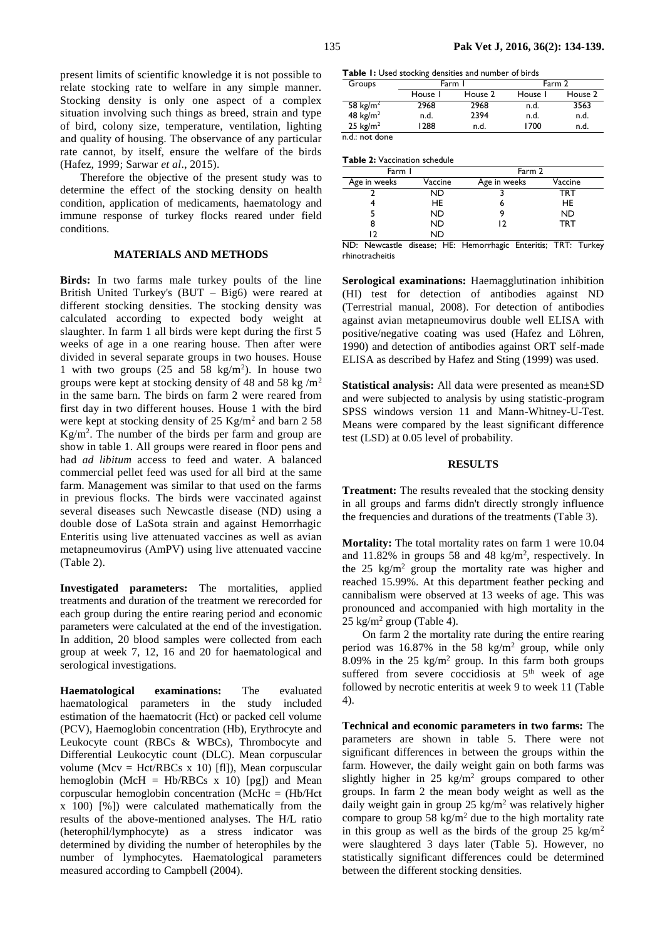present limits of scientific knowledge it is not possible to relate stocking rate to welfare in any simple manner. Stocking density is only one aspect of a complex situation involving such things as breed, strain and type of bird, colony size, temperature, ventilation, lighting and quality of housing. The observance of any particular rate cannot, by itself, ensure the welfare of the birds (Hafez, 1999; Sarwar *et al*., 2015).

Therefore the objective of the present study was to determine the effect of the stocking density on health condition, application of medicaments, haematology and immune response of turkey flocks reared under field conditions.

## **MATERIALS AND METHODS**

**Birds:** In two farms male turkey poults of the line British United Turkey's (BUT – Big6) were reared at different stocking densities. The stocking density was calculated according to expected body weight at slaughter. In farm 1 all birds were kept during the first 5 weeks of age in a one rearing house. Then after were divided in several separate groups in two houses. House 1 with two groups  $(25 \text{ and } 58 \text{ kg/m}^2)$ . In house two groups were kept at stocking density of 48 and 58 kg/ $m<sup>2</sup>$ in the same barn. The birds on farm 2 were reared from first day in two different houses. House 1 with the bird were kept at stocking density of  $25 \text{ Kg/m}^2$  and barn  $258$ Kg/m<sup>2</sup> . The number of the birds per farm and group are show in table 1. All groups were reared in floor pens and had *ad libitum* access to feed and water. A balanced commercial pellet feed was used for all bird at the same farm. Management was similar to that used on the farms in previous flocks. The birds were vaccinated against several diseases such Newcastle disease (ND) using a double dose of LaSota strain and against Hemorrhagic Enteritis using live attenuated vaccines as well as avian metapneumovirus (AmPV) using live attenuated vaccine (Table 2).

**Investigated parameters:** The mortalities, applied treatments and duration of the treatment we rerecorded for each group during the entire rearing period and economic parameters were calculated at the end of the investigation. In addition, 20 blood samples were collected from each group at week 7, 12, 16 and 20 for haematological and serological investigations.

**Haematological examinations:** The evaluated haematological parameters in the study included estimation of the haematocrit (Hct) or packed cell volume (PCV), Haemoglobin concentration (Hb), Erythrocyte and Leukocyte count (RBCs & WBCs), Thrombocyte and Differential Leukocytic count (DLC). Mean corpuscular volume (Mcv = Hct/RBCs x 10) [fl]), Mean corpuscular hemoglobin (McH = Hb/RBCs  $x$  10) [pg]) and Mean corpuscular hemoglobin concentration (McHc = (Hb/Hct x 100) [%]) were calculated mathematically from the results of the above-mentioned analyses. The H/L ratio (heterophil/lymphocyte) as a stress indicator was determined by dividing the number of heterophiles by the number of lymphocytes. Haematological parameters measured according to [Campbell \(2004\)](javascript:;).

**Table 1:** Used stocking densities and number of birds

| Groups               |         | Farm I  | Farm 2  |         |  |
|----------------------|---------|---------|---------|---------|--|
|                      | House I | House 2 | House I | House 2 |  |
| 58 kg/m <sup>2</sup> | 2968    | 2968    | n.d.    | 3563    |  |
| 48 $kg/m2$           | n.d.    | 2394    | n.d.    | n.d.    |  |
| 25 $kg/m2$           | 1288    | n.d.    | 1700    | n.d.    |  |
| walioza dana         |         |         |         |         |  |

n.d.: not done

| Farm I       |         | Farm 2       |           |  |  |  |  |
|--------------|---------|--------------|-----------|--|--|--|--|
| Age in weeks | Vaccine | Age in weeks | Vaccine   |  |  |  |  |
|              | ND      |              | TRT       |  |  |  |  |
|              | HE      |              | <b>HE</b> |  |  |  |  |
|              | ND      |              | <b>ND</b> |  |  |  |  |
| 8            | ND      |              | TRT       |  |  |  |  |
|              | ND      |              |           |  |  |  |  |

ND: Newcastle disease; HE: Hemorrhagic Enteritis; TRT: Turkey rhinotracheitis

**Serological examinations:** Haemagglutination inhibition (HI) test for detection of antibodies against ND (Terrestrial manual, 2008). For detection of antibodies against avian metapneumovirus double well ELISA with positive/negative coating was used (Hafez and Löhren, 1990) and detection of antibodies against ORT self-made ELISA as described by Hafez and Sting (1999) was used.

**Statistical analysis:** All data were presented as mean±SD and were subjected to analysis by using statistic-program SPSS windows version 11 and Mann-Whitney-U-Test. Means were compared by the least significant difference test (LSD) at 0.05 level of probability.

#### **RESULTS**

**Treatment:** The results revealed that the stocking density in all groups and farms didn't directly strongly influence the frequencies and durations of the treatments (Table 3).

**Mortality:** The total mortality rates on farm 1 were 10.04 and  $11.82\%$  in groups 58 and 48 kg/m<sup>2</sup>, respectively. In the  $25 \text{ kg/m}^2$  group the mortality rate was higher and reached 15.99%. At this department feather pecking and cannibalism were observed at 13 weeks of age. This was pronounced and accompanied with high mortality in the  $25 \text{ kg/m}^2$  group (Table 4).

On farm 2 the mortality rate during the entire rearing period was  $16.87\%$  in the 58 kg/m<sup>2</sup> group, while only 8.09% in the 25 kg/m<sup>2</sup> group. In this farm both groups suffered from severe coccidiosis at  $5<sup>th</sup>$  week of age followed by necrotic enteritis at week 9 to week 11 (Table 4).

**Technical and economic parameters in two farms:** The parameters are shown in table 5. There were not significant differences in between the groups within the farm. However, the daily weight gain on both farms was slightly higher in  $25 \text{ kg/m}^2$  groups compared to other groups. In farm 2 the mean body weight as well as the daily weight gain in group 25 kg/m<sup>2</sup> was relatively higher compare to group 58 kg/m<sup>2</sup> due to the high mortality rate in this group as well as the birds of the group  $25 \text{ kg/m}^2$ were slaughtered 3 days later (Table 5). However, no statistically significant differences could be determined between the different stocking densities.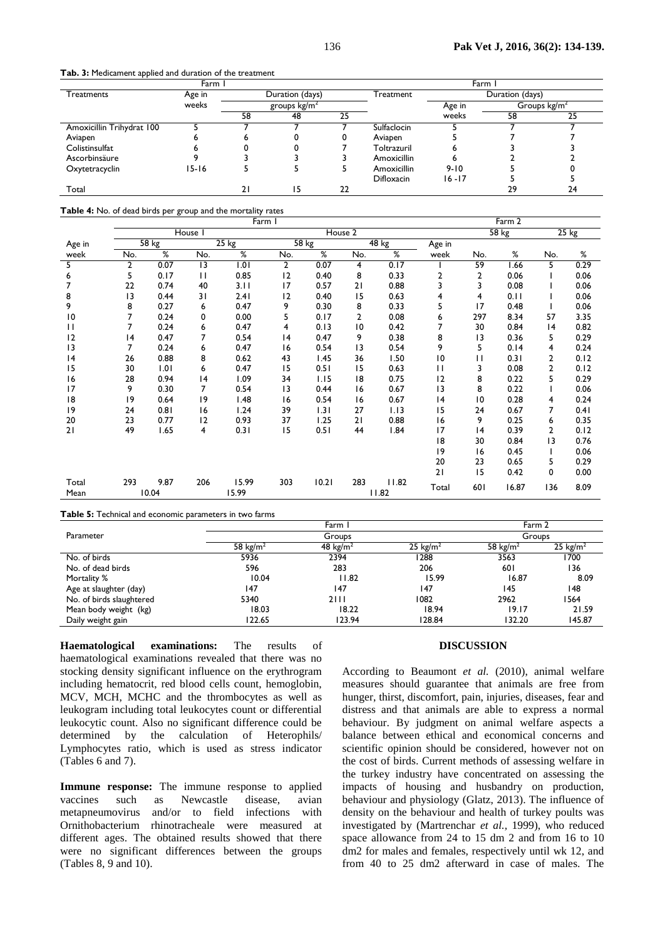**Tab. 3:** Medicament applied and duration of the treatment

|                           | Farm      |    |                 |    |                   | Farm      |                 |                |
|---------------------------|-----------|----|-----------------|----|-------------------|-----------|-----------------|----------------|
| Treatments                | Age in    |    | Duration (days) |    | Treatment         |           | Duration (days) |                |
|                           | weeks     |    | groups $kg/m2$  |    |                   | Age in    |                 | Groups $kg/m2$ |
|                           |           | 58 | 48              | 25 |                   | weeks     | 58              | 25             |
| Amoxicillin Trihydrat 100 |           |    |                 |    | Sulfaclocin       |           |                 |                |
| Aviapen                   | D         | D  |                 |    | Aviapen           |           |                 |                |
| Colistinsulfat            |           |    |                 |    | Toltrazuril       |           |                 |                |
| Ascorbinsäure             |           |    |                 |    | Amoxicillin       |           |                 |                |
| Oxytetracyclin            | $15 - 16$ |    |                 |    | Amoxicillin       | $9 - 10$  |                 |                |
|                           |           |    |                 |    | <b>Difloxacin</b> | $16 - 17$ |                 |                |
| Total                     |           | 2  | ۱5              | 22 |                   |           | 29              | 24             |

**Table 4:** No. of dead birds per group and the mortality rates

|              | Farm I         |                                 |                 |                 |                |           |     |         |        | Farm 2 |       |                |         |  |  |
|--------------|----------------|---------------------------------|-----------------|-----------------|----------------|-----------|-----|---------|--------|--------|-------|----------------|---------|--|--|
|              |                |                                 | House I         |                 |                | House 2   |     |         |        |        | 58 kg |                | $25$ kg |  |  |
| Age in       |                | $\overline{58}$ $\overline{kg}$ |                 | $25 \text{ kg}$ |                | $58$ $kg$ |     | $48$ kg | Age in |        |       |                |         |  |  |
| week         | No.            | ℅                               | No.             | ℅               | No.            | %         | No. | %       | week   | No.    | %     | No.            | %       |  |  |
| 5            | $\overline{2}$ | 0.07                            | $\overline{13}$ | 1.01            | $\overline{2}$ | 0.07      | 4   | 0.17    |        | 59     | .66   | 5              | 0.29    |  |  |
| 6            | 5              | 0.17                            | $\mathsf{H}$    | 0.85            | 12             | 0.40      | 8   | 0.33    | 2      | 2      | 0.06  |                | 0.06    |  |  |
| 7            | 22             | 0.74                            | 40              | 3.11            | 17             | 0.57      | 21  | 0.88    | 3      | 3      | 0.08  |                | 0.06    |  |  |
| 8            | 13             | 0.44                            | 31              | 2.41            | 12             | 0.40      | 15  | 0.63    | 4      | 4      | 0.11  |                | 0.06    |  |  |
| 9            | 8              | 0.27                            | 6               | 0.47            | 9              | 0.30      | 8   | 0.33    | 5      | 17     | 0.48  |                | 0.06    |  |  |
| 10           | 7              | 0.24                            | 0               | 0.00            | 5              | 0.17      | 2   | 0.08    | 6      | 297    | 8.34  | 57             | 3.35    |  |  |
| $\mathbf{H}$ | 7              | 0.24                            | 6               | 0.47            | 4              | 0.13      | 10  | 0.42    | 7      | 30     | 0.84  | 4              | 0.82    |  |  |
| 12           | 4              | 0.47                            | 7               | 0.54            | 4              | 0.47      | 9   | 0.38    | 8      | 13     | 0.36  | 5              | 0.29    |  |  |
| 13           | 7              | 0.24                            | 6               | 0.47            | 16             | 0.54      | 13  | 0.54    | 9      | 5      | 0.14  | 4              | 0.24    |  |  |
| 4            | 26             | 0.88                            | 8               | 0.62            | 43             | 1.45      | 36  | 1.50    | 10     | П      | 0.31  | 2              | 0.12    |  |  |
| 15           | 30             | 1.01                            | 6               | 0.47            | 15             | 0.51      | 15  | 0.63    | П      | 3      | 0.08  | $\overline{2}$ | 0.12    |  |  |
| 16           | 28             | 0.94                            | 4               | 1.09            | 34             | 1.15      | 8   | 0.75    | 12     | 8      | 0.22  | 5              | 0.29    |  |  |
| 17           | 9              | 0.30                            | 7               | 0.54            | 13             | 0.44      | 16  | 0.67    | 13     | 8      | 0.22  |                | 0.06    |  |  |
| 18           | 9              | 0.64                            | 9               | 1.48            | 16             | 0.54      | 16  | 0.67    | 4      | 10     | 0.28  | 4              | 0.24    |  |  |
| 9            | 24             | 0.81                            | 16              | 1.24            | 39             | 1.31      | 27  | 1.13    | 15     | 24     | 0.67  | 7              | 0.41    |  |  |
| 20           | 23             | 0.77                            | 2               | 0.93            | 37             | 1.25      | 21  | 0.88    | 16     | 9      | 0.25  | 6              | 0.35    |  |  |
| 21           | 49             | 1.65                            | 4               | 0.31            | 15             | 0.51      | 44  | 1.84    | 17     | 4      | 0.39  | $\overline{2}$ | 0.12    |  |  |
|              |                |                                 |                 |                 |                |           |     |         | 8      | 30     | 0.84  | 13             | 0.76    |  |  |
|              |                |                                 |                 |                 |                |           |     |         | 19     | 16     | 0.45  |                | 0.06    |  |  |
|              |                |                                 |                 |                 |                |           |     |         | 20     | 23     | 0.65  | 5              | 0.29    |  |  |
|              |                |                                 |                 |                 |                |           |     |         | 21     | 15     | 0.42  | 0              | 0.00    |  |  |
| Total        | 293            | 9.87                            | 206             | 15.99           | 303            | 10.21     | 283 | 11.82   | Total  | 601    | 16.87 | 136            | 8.09    |  |  |
| Mean         |                | 10.04                           |                 | 15.99           |                |           |     | 11.82   |        |        |       |                |         |  |  |

**Table 5:** Technical and economic parameters in two farms

|                          |                      | Farm 2               |                     |                      |            |  |
|--------------------------|----------------------|----------------------|---------------------|----------------------|------------|--|
| Parameter                |                      | Groups               |                     | Groups               |            |  |
|                          | 58 kg/m <sup>2</sup> | 48 kg/m <sup>2</sup> | $25 \text{ kg/m}^2$ | 58 kg/m <sup>2</sup> | 25 $kg/m2$ |  |
| No. of birds             | 5936                 | 2394                 | 1288                | 3563                 | 1700       |  |
| No. of dead birds        | 596                  | 283                  | 206                 | 601                  | 136        |  |
| Mortality %              | 10.04                | 11.82                | 15.99               | 16.87                | 8.09       |  |
| Age at slaughter (day)   | 147                  | 147                  | 147                 | 145                  | 148        |  |
| No. of birds slaughtered | 5340                 | 2111                 | 1082                | 2962                 | 1564       |  |
| Mean body weight (kg)    | 18.03                | 18.22                | 18.94               | 19.17                | 21.59      |  |
| Daily weight gain        | 122.65               | 123.94               | 128.84              | 132.20               | 145.87     |  |

**Haematological examinations:** The results of haematological examinations revealed that there was no stocking density significant influence on the erythrogram including hematocrit, red blood cells count, hemoglobin, MCV, MCH, MCHC and the thrombocytes as well as leukogram including total leukocytes count or differential leukocytic count. Also no significant difference could be determined by the calculation of Heterophils/ Lymphocytes ratio, which is used as stress indicator (Tables 6 and 7).

**Immune response:** The immune response to applied vaccines such as Newcastle disease, avian metapneumovirus and/or to field infections with Ornithobacterium rhinotracheale were measured at different ages. The obtained results showed that there were no significant differences between the groups (Tables 8, 9 and 10).

## **DISCUSSION**

According to Beaumont *et al.* (2010), animal welfare measures should guarantee that animals are free from hunger, thirst, discomfort, pain, injuries, diseases, fear and distress and that animals are able to express a normal behaviour. By judgment on animal welfare aspects a balance between ethical and economical concerns and scientific opinion should be considered, however not on the cost of birds. Current methods of assessing welfare in the turkey industry have concentrated on assessing the impacts of housing and husbandry on production, behaviour and physiology (Glatz, 2013). The influence of density on the behaviour and health of turkey poults was investigated by (Martrenchar *et al.,* 1999), who reduced space allowance from 24 to 15 dm 2 and from 16 to 10 dm2 for males and females, respectively until wk 12, and from 40 to 25 dm2 afterward in case of males. The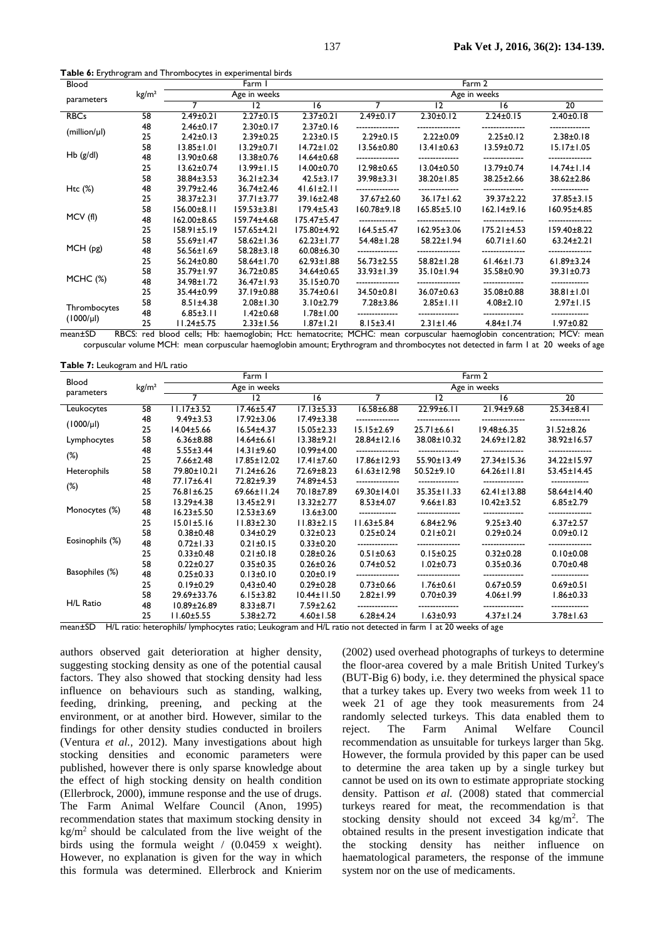| Blood          |                   |                   | Farm I            |                   |                  |                   | Farm 2            |                   |
|----------------|-------------------|-------------------|-------------------|-------------------|------------------|-------------------|-------------------|-------------------|
| parameters     | kg/m <sup>2</sup> |                   | Age in weeks      |                   |                  |                   | Age in weeks      |                   |
|                |                   | 7                 | 12                | 16                | 7                | $ 2\rangle$       | 16                | $\overline{20}$   |
| <b>RBCs</b>    | 58                | $2.49 \pm 0.21$   | $2.27 \pm 0.15$   | $2.37 \pm 0.21$   | $2.49 \pm 0.17$  | $2.30 \pm 0.12$   | $2.24 \pm 0.15$   | $2.40 \pm 0.18$   |
| (million/µ)    | 48                | $2.46 \pm 0.17$   | $2.30 \pm 0.17$   | $2.37 \pm 0.16$   |                  |                   |                   |                   |
|                | 25                | $2.42 \pm 0.13$   | $2.39 \pm 0.25$   | $2.23 \pm 0.15$   | $2.29 \pm 0.15$  | $2.22 \pm 0.09$   | $2.25 \pm 0.12$   | $2.38 \pm 0.18$   |
|                | 58                | $13.85 \pm 1.01$  | $13.29 \pm 0.71$  | $14.72 \pm 1.02$  | $13.56 \pm 0.80$ | $13.41 \pm 0.63$  | $13.59 \pm 0.72$  | $15.17 \pm 1.05$  |
| $Hb$ (g/dl)    | 48                | $13.90 \pm 0.68$  | $13.38 \pm 0.76$  | $14.64 \pm 0.68$  |                  |                   |                   |                   |
|                | 25                | $13.62 \pm 0.74$  | $13.99 \pm 1.15$  | $14.00 \pm 0.70$  | $12.98 \pm 0.65$ | $13.04 \pm 0.50$  | $13.79 \pm 0.74$  | $14.74 \pm 1.14$  |
|                | 58                | 38.84±3.53        | $36.21 \pm 2.34$  | $42.5 \pm 3.17$   | 39.98±3.31       | 38.20±1.85        | 38.25±2.66        | 38.62±2.86        |
| Htc $(\%)$     | 48                | 39.79±2.46        | 36.74±2.46        | $41.61 \pm 2.11$  |                  |                   |                   |                   |
|                | 25                | 38.37±2.31        | $37.71 \pm 3.77$  | $39.16 \pm 2.48$  | 37.67±2.60       | $36.17 \pm 1.62$  | 39.37±2.22        | $37.85 \pm 3.15$  |
|                | 58                | 156.00±8.11       | $159.53 \pm 3.81$ | $179.4 \pm 5.43$  | $160.78 + 9.18$  | $165.85 \pm 5.10$ | $162.14 \pm 9.16$ | 160.95±4.85       |
| MCV (fl)       | 48                | $162.00 \pm 8.65$ | $159.74 \pm 4.68$ | $175.47 \pm 5.47$ |                  |                   |                   |                   |
|                | 25                | $158.91 \pm 5.19$ | $157.65 \pm 4.21$ | 175.80±4.92       | $164.5 \pm 5.47$ | $162.95 \pm 3.06$ | $175.21 \pm 4.53$ | $159.40 \pm 8.22$ |
|                | 58                | $55.69 \pm 1.47$  | 58.62±1.36        | $62.23 \pm 1.77$  | 54.48±1.28       | 58.22±1.94        | $60.71 \pm 1.60$  | $63.24 \pm 2.21$  |
| MCH(pg)        | 48                | 56.56±1.69        | $58.28 \pm 3.18$  | $60.08 \pm 6.30$  |                  |                   |                   |                   |
|                | 25                | 56.24±0.80        | 58.64±1.70        | $62.93 \pm 1.88$  | $56.73 \pm 2.55$ | 58.82±1.28        | $61.46 \pm 1.73$  | $61.89 \pm 3.24$  |
|                | 58                | 35.79±1.97        | 36.72±0.85        | 34.64±0.65        | 33.93±1.39       | $35.10 \pm 1.94$  | 35.58±0.90        | $39.31 \pm 0.73$  |
| $MCHC$ $(\%)$  | 48                | 34.98±1.72        | $36.47 \pm 1.93$  | 35.15±0.70        |                  |                   |                   |                   |
|                | 25                | 35.44±0.99        | 37.19±0.88        | 35.74±0.61        | 34.50±0.81       | 36.07±0.63        | 35.08±0.88        | 38.81±1.01        |
|                | 58                | $8.51 \pm 4.38$   | $2.08 \pm 1.30$   | $3.10 \pm 2.79$   | $7.28 \pm 3.86$  | $2.85 \pm 1.11$   | $4.08 \pm 2.10$   | $2.97 \pm 1.15$   |
| Thrombocytes   | 48                | $6.85 \pm 3.11$   | $1.42 \pm 0.68$   | $1.78 \pm 1.00$   |                  |                   |                   |                   |
| $(1000/\mu l)$ | 25                | $11.24 \pm 5.75$  | $2.33 \pm 1.56$   | $1.87 \pm 1.21$   | $8.15 \pm 3.41$  | $2.31 \pm 1.46$   | $4.84 \pm 1.74$   | $1.97 \pm 0.82$   |

mean±SD RBCS: red blood cells; Hb: haemoglobin; Hct: hematocrite; MCHC: mean corpuscular haemoglobin concentration; MCV: mean corpuscular volume MCH: mean corpuscular haemoglobin amount; Erythrogram and thrombocytes not detected in farm 1 at 20 weeks of age

**Table 7:** Leukogram and H/L ratio

| Blood                           |                   |                   | Farm 1            |                   |                   |                   | Farm 2            |                  |
|---------------------------------|-------------------|-------------------|-------------------|-------------------|-------------------|-------------------|-------------------|------------------|
| parameters                      | kg/m <sup>2</sup> |                   | Age in weeks      |                   |                   |                   | Age in weeks      |                  |
|                                 |                   | 7                 | 12                | 16                | 7                 | 12                | 16                | $\overline{20}$  |
| Leukocytes                      | 58                | $11.17 \pm 3.52$  | $17.46 \pm 5.47$  | $17.13 \pm 5.33$  | $16.58 \pm 6.88$  | $22.99 \pm 6.11$  | 21.94±9.68        | $25.34 \pm 8.41$ |
| $(1000/\mu l)$                  | 48                | $9.49 \pm 3.53$   | $17.92 \pm 3.06$  | $17.49 \pm 3.38$  |                   |                   |                   |                  |
|                                 | 25                | $14.04 \pm 5.66$  | $16.54 \pm 4.37$  | $15.05 \pm 2.33$  | $15.15 \pm 2.69$  | $25.71 \pm 6.61$  | $19.48 \pm 6.35$  | $31.52 \pm 8.26$ |
| Lymphocytes                     | 58                | $6.36 \pm 8.88$   | $14.64 \pm 6.61$  | $13.38 + 9.21$    | $28.84 \pm 12.16$ | 38.08±10.32       | 24.69±12.82       | 38.92±16.57      |
| $(\%)$<br>Heterophils<br>$(\%)$ | 48                | $5.55 \pm 3.44$   | $14.31 \pm 9.60$  | $10.99 \pm 4.00$  | ---------------   |                   |                   |                  |
|                                 | 25                | $7.66 \pm 2.48$   | $17.85 \pm 12.02$ | $17.41 \pm 7.60$  | $17.86 \pm 12.93$ | $55.90 \pm 13.49$ | 27.34±15.36       | 34.22±15.97      |
|                                 | 58                | 79.80±10.21       | 71.24±6.26        | 72.69±8.23        | $61.63 \pm 12.98$ | $50.52 \pm 9.10$  | $64.26 \pm 11.81$ | 53.45±14.45      |
|                                 | 48                | 77.17±6.41        | 72.82±9.39        | 74.89±4.53        |                   |                   |                   |                  |
|                                 | 25                | 76.81±6.25        | 69.66±11.24       | 70.18±7.89        | $69.30 \pm 14.01$ | $35.35 \pm 11.33$ | $62.41 \pm 13.88$ | 58.64±14.40      |
|                                 | 58                | $13.29 \pm 4.38$  | $13.45 \pm 2.91$  | $13.32 \pm 2.77$  | $8.53 \pm 4.07$   | $9.66 \pm 1.83$   | $10.42 \pm 3.52$  | $6.85 \pm 2.79$  |
| Monocytes (%)                   | 48                | $16.23 \pm 5.50$  | $12.53 \pm 3.69$  | $13.6 \pm 3.00$   |                   |                   |                   |                  |
|                                 | 25                | $15.01 \pm 5.16$  | $11.83 \pm 2.30$  | $11.83 \pm 2.15$  | $11.63 \pm 5.84$  | $6.84 \pm 2.96$   | $9.25 \pm 3.40$   | $6.37 \pm 2.57$  |
|                                 | 58                | $0.38 \pm 0.48$   | $0.34 \pm 0.29$   | $0.32 \pm 0.23$   | $0.25 \pm 0.24$   | $0.21 \pm 0.21$   | $0.29 \pm 0.24$   | $0.09 \pm 0.12$  |
| Eosinophils (%)                 | 48                | $0.72 \pm 1.33$   | $0.21 \pm 0.15$   | $0.33 \pm 0.20$   |                   |                   |                   |                  |
|                                 | 25                | $0.33 \pm 0.48$   | $0.21 \pm 0.18$   | $0.28 \pm 0.26$   | $0.51 \pm 0.63$   | $0.15 \pm 0.25$   | $0.32 \pm 0.28$   | $0.10 \pm 0.08$  |
|                                 | 58                | $0.22 \pm 0.27$   | $0.35 \pm 0.35$   | $0.26 \pm 0.26$   | $0.74 \pm 0.52$   | $1.02 \pm 0.73$   | $0.35 \pm 0.36$   | $0.70 \pm 0.48$  |
| Basophiles (%)                  | 48                | $0.25 \pm 0.33$   | $0.13 \pm 0.10$   | $0.20 \pm 0.19$   |                   |                   |                   |                  |
|                                 | 25                | $0.19 \pm 0.29$   | $0.43 \pm 0.40$   | $0.29 \pm 0.28$   | $0.73 \pm 0.66$   | $1.76 \pm 0.61$   | $0.67 \pm 0.59$   | $0.69 \pm 0.51$  |
|                                 | 58                | 29.69±33.76       | $6.15 \pm 3.82$   | $10.44 \pm 11.50$ | $2.82 \pm 1.99$   | $0.70 \pm 0.39$   | $4.06 \pm 1.99$   | $1.86 \pm 0.33$  |
| H/L Ratio                       | 48                | $10.89 \pm 26.89$ | $8.33 \pm 8.71$   | $7.59 \pm 2.62$   |                   |                   |                   |                  |
|                                 | 25                | $11.60 \pm 5.55$  | $5.38 \pm 2.72$   | $4.60 \pm 1.58$   | $6.28 \pm 4.24$   | $1.63 \pm 0.93$   | $4.37 \pm 1.24$   | 3.78±1.63        |

at 20 weeks o

authors observed gait deterioration at higher density, suggesting stocking density as one of the potential causal factors. They also showed that stocking density had less influence on behaviours such as standing, walking, feeding, drinking, preening, and pecking at the environment, or at another bird. However, similar to the findings for other density studies conducted in broilers (Ventura *et al.,* 2012). Many investigations about high stocking densities and economic parameters were published, however there is only sparse knowledge about the effect of high stocking density on health condition (Ellerbrock, 2000), immune response and the use of drugs. The Farm Animal Welfare Council (Anon, 1995) recommendation states that maximum stocking density in  $kg/m<sup>2</sup>$  should be calculated from the live weight of the birds using the formula weight / (0.0459 x weight). However, no explanation is given for the way in which this formula was determined. Ellerbrock and Knierim

(2002) used overhead photographs of turkeys to determine the floor-area covered by a male British United Turkey's (BUT-Big 6) body, i.e. they determined the physical space that a turkey takes up. Every two weeks from week 11 to week 21 of age they took measurements from 24 randomly selected turkeys. This data enabled them to reject. The Farm Animal Welfare Council recommendation as unsuitable for turkeys larger than 5kg. However, the formula provided by this paper can be used to determine the area taken up by a single turkey but cannot be used on its own to estimate appropriate stocking density. Pattison *et al.* (2008) stated that commercial turkeys reared for meat, the recommendation is that stocking density should not exceed 34 kg/m<sup>2</sup>. The obtained results in the present investigation indicate that the stocking density has neither influence on haematological parameters, the response of the immune system nor on the use of medicaments.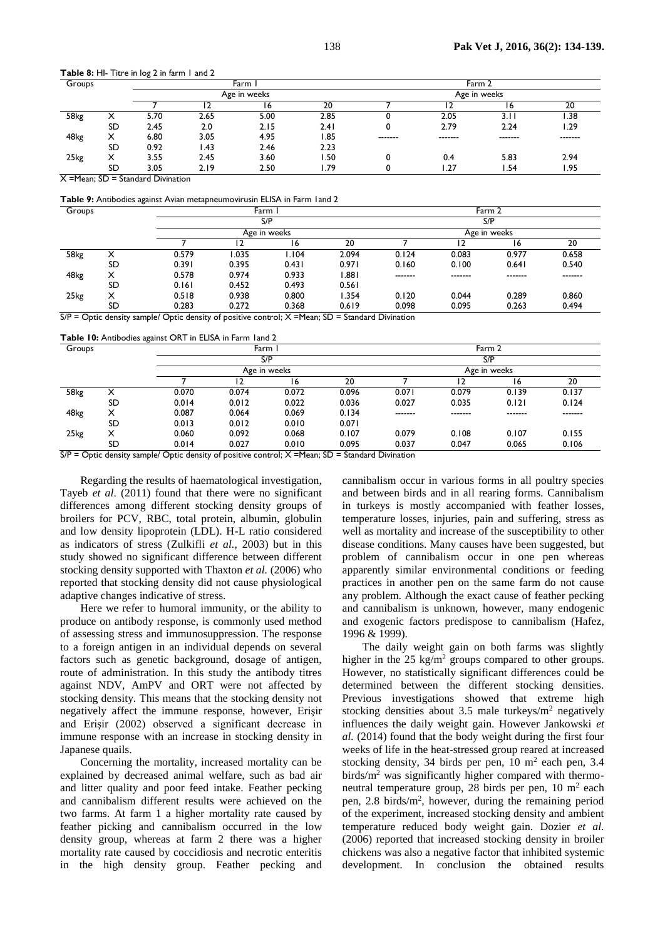**Table 8:** HI- Titre in log 2 in farm 1 and 2

| Groups |           |      |       | Farm         |       | Farm 2  |         |              |         |  |
|--------|-----------|------|-------|--------------|-------|---------|---------|--------------|---------|--|
|        |           |      |       | Age in weeks |       |         |         | Age in weeks |         |  |
|        |           |      |       | 16           | 20    |         |         | 16           | 20      |  |
| 58kg   | ↗         | 5.70 | 2.65  | 5.00         | 2.85  |         | 2.05    | 3. I I       | 1.38    |  |
|        | <b>SD</b> | 2.45 | 2.0   | 2.15         | 2.41  |         | 2.79    | 2.24         | 1.29    |  |
| 48kg   | x         | 6.80 | 3.05  | 4.95         | 1.85  | ------- | ------- | -------      | ------- |  |
|        | SD        | 0.92 | 43، ، | 2.46         | 2.23  |         |         |              |         |  |
| 25kg   |           | 3.55 | 2.45  | 3.60         | . 50  |         | 0.4     | 5.83         | 2.94    |  |
|        | SD        | 3.05 | 2.19  | 2.50         | 79. ا |         | 27. ا   | . 54،        | 1.95    |  |

 $X = Mean$ : SD = Standard Divination

**Table 9:** Antibodies against Avian metapneumovirusin ELISA in Farm 1and 2

| Groups |    |       |       | Farm         |       | Farm 2       |         |                     |         |  |  |
|--------|----|-------|-------|--------------|-------|--------------|---------|---------------------|---------|--|--|
|        |    |       |       | S/P          |       | S/P          |         |                     |         |  |  |
|        |    |       |       | Age in weeks |       | Age in weeks |         |                     |         |  |  |
|        |    |       |       | 16           | 20    |              |         | $\ddot{\mathbf{c}}$ | 20      |  |  |
| 58kg   | ⌒  | 0.579 | .035  | I.I04        | 2.094 | 0.124        | 0.083   | 0.977               | 0.658   |  |  |
|        | SD | 0.391 | 0.395 | 0.431        | 0.971 | 0.160        | 0.100   | 0.641               | 0.540   |  |  |
| 48kg   | х  | 0.578 | 0.974 | 0.933        | 1.881 | -------      | ------- | -------             | ------- |  |  |
|        | SD | 0.161 | 0.452 | 0.493        | 0.561 |              |         |                     |         |  |  |
| 25kg   | ᄉ  | 0.518 | 0.938 | 0.800        | 1.354 | 0.120        | 0.044   | 0.289               | 0.860   |  |  |
|        | SD | 0.283 | 0.272 | 0.368        | 0.619 | 0.098        | 0.095   | 0.263               | 0.494   |  |  |

 $S/P =$  Optic density sample/ Optic density of positive control;  $X =$  Mean;  $SD =$  Standard Divination

**Table 10:** Antibodies against ORT in ELISA in Farm 1and 2

| Groups |    |       | Farm  |              |       |              | Farm 2  |         |         |  |  |
|--------|----|-------|-------|--------------|-------|--------------|---------|---------|---------|--|--|
|        |    |       |       | S/P          |       |              |         | S/P     |         |  |  |
|        |    |       |       | Age in weeks |       | Age in weeks |         |         |         |  |  |
|        |    |       |       | 16           | 20    |              |         | 16      | 20      |  |  |
| 58kg   | ⋏  | 0.070 | 0.074 | 0.072        | 0.096 | 0.071        | 0.079   | 0.139   | 0.137   |  |  |
|        | SD | 0.014 | 0.012 | 0.022        | 0.036 | 0.027        | 0.035   | 0.121   | 0.124   |  |  |
| 48kg   | Х  | 0.087 | 0.064 | 0.069        | 0.134 | -------      | ------- | ------- | ------- |  |  |
|        | SD | 0.013 | 0.012 | 0.010        | 0.071 |              |         |         |         |  |  |
| 25kg   | x  | 0.060 | 0.092 | 0.068        | 0.107 | 0.079        | 0.108   | 0.107   | 0.155   |  |  |
|        | SD | 0.014 | 0.027 | 0.010        | 0.095 | 0.037        | 0.047   | 0.065   | 0.106   |  |  |

 $S/P =$  Optic density sample/ Optic density of positive control;  $X =$  Mean; SD = Standard Divination

Regarding the results of haematological investigation, Tayeb *et al*. (2011) found that there were no significant differences among different stocking density groups of broilers for PCV, RBC, total protein, albumin, globulin and low density lipoprotein (LDL). H-L ratio considered as indicators of stress (Zulkifli *et al.,* 2003) but in this study showed no significant difference between different stocking density supported with Thaxton *et al.* (2006) who reported that stocking density did not cause physiological adaptive changes indicative of stress.

Here we refer to humoral immunity, or the ability to produce on antibody response, is commonly used method of assessing stress and immunosuppression. The response to a foreign antigen in an individual depends on several factors such as genetic background, dosage of antigen, route of administration. In this study the antibody titres against NDV, AmPV and ORT were not affected by stocking density. This means that the stocking density not negatively affect the immune response, however, Erişir and Erişir (2002) observed a significant decrease in immune response with an increase in stocking density in Japanese quails.

Concerning the mortality, increased mortality can be explained by decreased animal welfare, such as bad air and litter quality and poor feed intake. Feather pecking and cannibalism different results were achieved on the two farms. At farm 1 a higher mortality rate caused by feather picking and cannibalism occurred in the low density group, whereas at farm 2 there was a higher mortality rate caused by coccidiosis and necrotic enteritis in the high density group. Feather pecking and

cannibalism occur in various forms in all poultry species and between birds and in all rearing forms. Cannibalism in turkeys is mostly accompanied with feather losses, temperature losses, injuries, pain and suffering, stress as well as mortality and increase of the susceptibility to other disease conditions. Many causes have been suggested, but problem of cannibalism occur in one pen whereas apparently similar environmental conditions or feeding practices in another pen on the same farm do not cause any problem. Although the exact cause of feather pecking and cannibalism is unknown, however, many endogenic and exogenic factors predispose to cannibalism (Hafez, 1996 & 1999).

The daily weight gain on both farms was slightly higher in the  $25 \text{ kg/m}^2$  groups compared to other groups. However, no statistically significant differences could be determined between the different stocking densities. Previous investigations showed that extreme high stocking densities about  $3.5$  male turkeys/ $m<sup>2</sup>$  negatively influences the daily weight gain. However Jankowski *et al.* (2014) found that the body weight during the first four weeks of life in the heat-stressed group reared at increased stocking density, 34 birds per pen,  $10 \text{ m}^2$  each pen, 3.4 birds/m<sup>2</sup> was significantly higher compared with thermoneutral temperature group, 28 birds per pen,  $10 \text{ m}^2$  each pen, 2.8 birds/m<sup>2</sup>, however, during the remaining period of the experiment, increased stocking density and ambient temperature reduced body weight gain. Dozier *et al.*  (2006) reported that increased stocking density in broiler chickens was also a negative factor that inhibited systemic development. In conclusion the obtained results